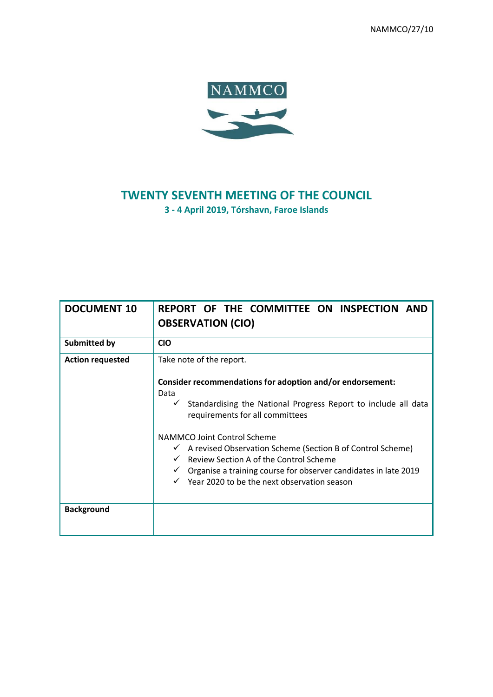NAMMCO/27/10



# **TWENTY SEVENTH MEETING OF THE COUNCIL 3 - 4 April 2019, Tórshavn, Faroe Islands**

| <b>DOCUMENT 10</b>      | REPORT OF THE COMMITTEE ON INSPECTION AND<br><b>OBSERVATION (CIO)</b>                                                                                                                                                                                                                                                                                                                                                                                                                                                        |
|-------------------------|------------------------------------------------------------------------------------------------------------------------------------------------------------------------------------------------------------------------------------------------------------------------------------------------------------------------------------------------------------------------------------------------------------------------------------------------------------------------------------------------------------------------------|
| <b>Submitted by</b>     | <b>CIO</b>                                                                                                                                                                                                                                                                                                                                                                                                                                                                                                                   |
| <b>Action requested</b> | Take note of the report.<br>Consider recommendations for adoption and/or endorsement:<br>Data<br>$\checkmark$ Standardising the National Progress Report to include all data<br>requirements for all committees<br>NAMMCO Joint Control Scheme<br>$\checkmark$ A revised Observation Scheme (Section B of Control Scheme)<br>$\checkmark$ Review Section A of the Control Scheme<br>$\checkmark$ Organise a training course for observer candidates in late 2019<br>$\checkmark$ Year 2020 to be the next observation season |
| <b>Background</b>       |                                                                                                                                                                                                                                                                                                                                                                                                                                                                                                                              |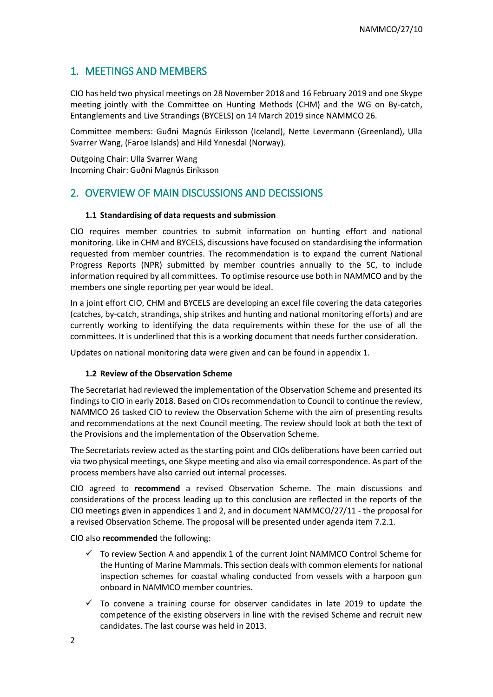# 1. MEETINGS AND MEMBERS

CIO has held two physical meetings on 28 November 2018 and 16 February 2019 and one Skype meeting jointly with the Committee on Hunting Methods (CHM) and the WG on By-catch, Entanglements and Live Strandings (BYCELS) on 14 March 2019 since NAMMCO 26.

Committee members: Guðni Magnús Eiríksson (Iceland), Nette Levermann (Greenland), Ulla Svarrer Wang, (Faroe Islands) and Hild Ynnesdal (Norway).

Outgoing Chair: Ulla Svarrer Wang Incoming Chair: Guðni Magnús Eiríksson

# 2. OVERVIEW OF MAIN DISCUSSIONS AND DECISSIONS

#### **1.1 Standardising of data requests and submission**

CIO requires member countries to submit information on hunting effort and national monitoring. Like in CHM and BYCELS, discussions have focused on standardising the information requested from member countries. The recommendation is to expand the current National Progress Reports (NPR) submitted by member countries annually to the SC, to include information required by all committees. To optimise resource use both in NAMMCO and by the members one single reporting per year would be ideal.

In a joint effort CIO, CHM and BYCELS are developing an excel file covering the data categories (catches, by-catch, strandings, ship strikes and hunting and national monitoring efforts) and are currently working to identifying the data requirements within these for the use of all the committees. It is underlined that this is a working document that needs further consideration.

Updates on national monitoring data were given and can be found in appendix 1.

#### **1.2 Review of the Observation Scheme**

The Secretariat had reviewed the implementation of the Observation Scheme and presented its findings to CIO in early 2018. Based on CIOs recommendation to Council to continue the review, NAMMCO 26 tasked CIO to review the Observation Scheme with the aim of presenting results and recommendations at the next Council meeting. The review should look at both the text of the Provisions and the implementation of the Observation Scheme.

The Secretariats review acted as the starting point and CIOs deliberations have been carried out via two physical meetings, one Skype meeting and also via email correspondence. As part of the process members have also carried out internal processes.

CIO agreed to **recommend** a revised Observation Scheme. The main discussions and considerations of the process leading up to this conclusion are reflected in the reports of the CIO meetings given in appendices 1 and 2, and in document NAMMCO/27/11 - the proposal for a revised Observation Scheme. The proposal will be presented under agenda item 7.2.1.

CIO also **recommended** the following:

- $\checkmark$  To review Section A and appendix 1 of the current Joint NAMMCO Control Scheme for the Hunting of Marine Mammals. This section deals with common elements for national inspection schemes for coastal whaling conducted from vessels with a harpoon gun onboard in NAMMCO member countries.
- $\checkmark$  To convene a training course for observer candidates in late 2019 to update the competence of the existing observers in line with the revised Scheme and recruit new candidates. The last course was held in 2013.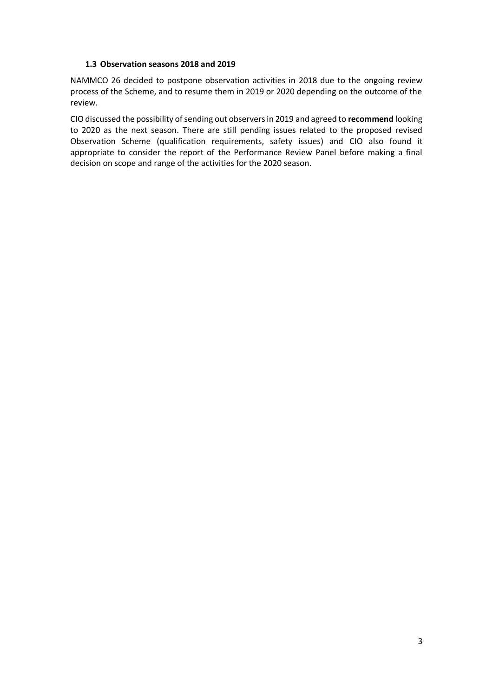## **1.3 Observation seasons 2018 and 2019**

NAMMCO 26 decided to postpone observation activities in 2018 due to the ongoing review process of the Scheme, and to resume them in 2019 or 2020 depending on the outcome of the review.

CIO discussed the possibility of sending out observers in 2019 and agreed to **recommend** looking to 2020 as the next season. There are still pending issues related to the proposed revised Observation Scheme (qualification requirements, safety issues) and CIO also found it appropriate to consider the report of the Performance Review Panel before making a final decision on scope and range of the activities for the 2020 season.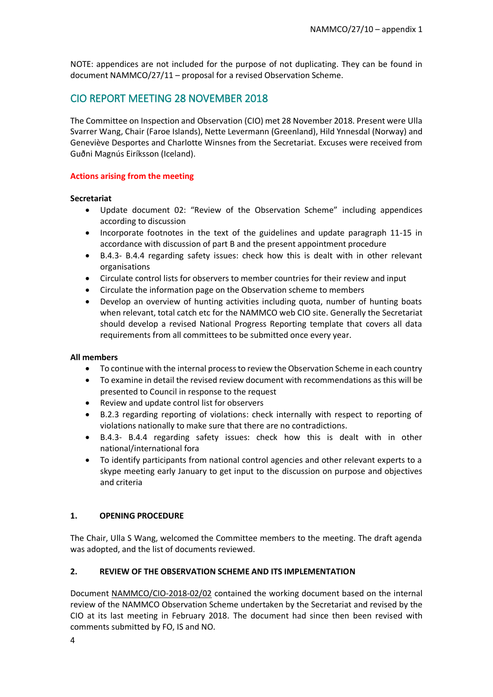NOTE: appendices are not included for the purpose of not duplicating. They can be found in document NAMMCO/27/11 – proposal for a revised Observation Scheme.

# CIO REPORT MEETING 28 NOVEMBER 2018

The Committee on Inspection and Observation (CIO) met 28 November 2018. Present were Ulla Svarrer Wang, Chair (Faroe Islands), Nette Levermann (Greenland), Hild Ynnesdal (Norway) and Geneviève Desportes and Charlotte Winsnes from the Secretariat. Excuses were received from Guðni Magnús Eiríksson (Iceland).

## **Actions arising from the meeting**

## **Secretariat**

- Update document 02: "Review of the Observation Scheme" including appendices according to discussion
- Incorporate footnotes in the text of the guidelines and update paragraph 11-15 in accordance with discussion of part B and the present appointment procedure
- B.4.3- B.4.4 regarding safety issues: check how this is dealt with in other relevant organisations
- Circulate control lists for observers to member countries for their review and input
- Circulate the information page on the Observation scheme to members
- Develop an overview of hunting activities including quota, number of hunting boats when relevant, total catch etc for the NAMMCO web CIO site. Generally the Secretariat should develop a revised National Progress Reporting template that covers all data requirements from all committees to be submitted once every year.

## **All members**

- To continue with the internal process to review the Observation Scheme in each country
- To examine in detail the revised review document with recommendations as this will be presented to Council in response to the request
- Review and update control list for observers
- B.2.3 regarding reporting of violations: check internally with respect to reporting of violations nationally to make sure that there are no contradictions.
- B.4.3- B.4.4 regarding safety issues: check how this is dealt with in other national/international fora
- To identify participants from national control agencies and other relevant experts to a skype meeting early January to get input to the discussion on purpose and objectives and criteria

## **1. OPENING PROCEDURE**

The Chair, Ulla S Wang, welcomed the Committee members to the meeting. The draft agenda was adopted, and the list of documents reviewed.

## **2. REVIEW OF THE OBSERVATION SCHEME AND ITS IMPLEMENTATION**

Document NAMMCO/CIO-2018-02/02 contained the working document based on the internal review of the NAMMCO Observation Scheme undertaken by the Secretariat and revised by the CIO at its last meeting in February 2018. The document had since then been revised with comments submitted by FO, IS and NO.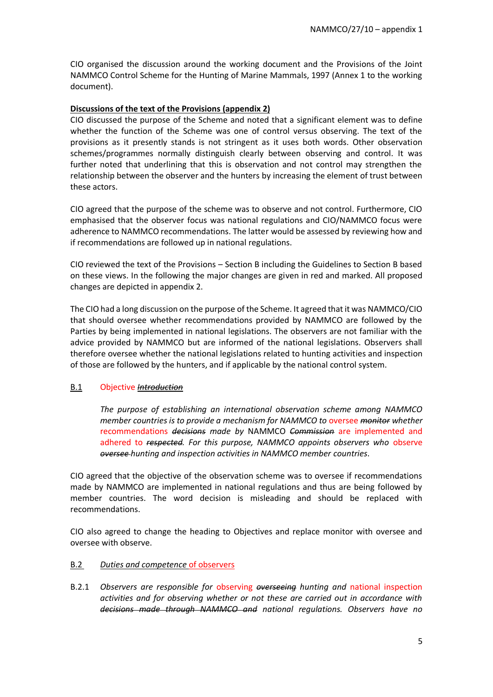CIO organised the discussion around the working document and the Provisions of the Joint NAMMCO Control Scheme for the Hunting of Marine Mammals, 1997 (Annex 1 to the working document).

## **Discussions of the text of the Provisions (appendix 2)**

CIO discussed the purpose of the Scheme and noted that a significant element was to define whether the function of the Scheme was one of control versus observing. The text of the provisions as it presently stands is not stringent as it uses both words. Other observation schemes/programmes normally distinguish clearly between observing and control. It was further noted that underlining that this is observation and not control may strengthen the relationship between the observer and the hunters by increasing the element of trust between these actors.

CIO agreed that the purpose of the scheme was to observe and not control. Furthermore, CIO emphasised that the observer focus was national regulations and CIO/NAMMCO focus were adherence to NAMMCO recommendations. The latter would be assessed by reviewing how and if recommendations are followed up in national regulations.

CIO reviewed the text of the Provisions – Section B including the Guidelines to Section B based on these views. In the following the major changes are given in red and marked. All proposed changes are depicted in appendix 2.

The CIO had a long discussion on the purpose of the Scheme. It agreed that it was NAMMCO/CIO that should oversee whether recommendations provided by NAMMCO are followed by the Parties by being implemented in national legislations. The observers are not familiar with the advice provided by NAMMCO but are informed of the national legislations. Observers shall therefore oversee whether the national legislations related to hunting activities and inspection of those are followed by the hunters, and if applicable by the national control system.

## B.1 Objective *Introduction*

*The purpose of establishing an international observation scheme among NAMMCO member countries is to provide a mechanism for NAMMCO to* oversee *monitor whether*  recommendations *decisions made by* NAMMCO *Commission* are implemented and adhered to *respected. For this purpose, NAMMCO appoints observers who* observe *oversee hunting and inspection activities in NAMMCO member countries*.

CIO agreed that the objective of the observation scheme was to oversee if recommendations made by NAMMCO are implemented in national regulations and thus are being followed by member countries. The word decision is misleading and should be replaced with recommendations.

CIO also agreed to change the heading to Objectives and replace monitor with oversee and oversee with observe.

## B.2 *Duties and competence* of observers

B.2.1 *Observers are responsible for* observing *overseeing hunting and* national inspection *activities and for observing whether or not these are carried out in accordance with decisions made through NAMMCO and national regulations. Observers have no*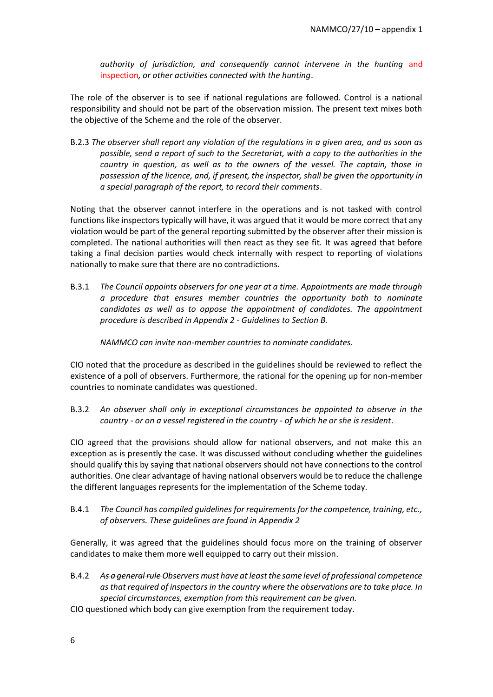*authority of jurisdiction, and consequently cannot intervene in the hunting* and inspection*, or other activities connected with the hunting*.

The role of the observer is to see if national regulations are followed. Control is a national responsibility and should not be part of the observation mission. The present text mixes both the objective of the Scheme and the role of the observer.

B.2.3 *The observer shall report any violation of the regulations in a given area, and as soon as possible, send a report of such to the Secretariat, with a copy to the authorities in the country in question, as well as to the owners of the vessel. The captain, those in possession of the licence, and, if present, the inspector, shall be given the opportunity in a special paragraph of the report, to record their comments*.

Noting that the observer cannot interfere in the operations and is not tasked with control functions like inspectors typically will have, it was argued that it would be more correct that any violation would be part of the general reporting submitted by the observer after their mission is completed. The national authorities will then react as they see fit. It was agreed that before taking a final decision parties would check internally with respect to reporting of violations nationally to make sure that there are no contradictions.

B.3.1 *The Council appoints observers for one year at a time. Appointments are made through a procedure that ensures member countries the opportunity both to nominate candidates as well as to oppose the appointment of candidates. The appointment procedure is described in Appendix 2 - Guidelines to Section B.* 

*NAMMCO can invite non-member countries to nominate candidates.* 

CIO noted that the procedure as described in the guidelines should be reviewed to reflect the existence of a poll of observers. Furthermore, the rational for the opening up for non-member countries to nominate candidates was questioned.

B.3.2 *An observer shall only in exceptional circumstances be appointed to observe in the country - or on a vessel registered in the country - of which he or she is resident*.

CIO agreed that the provisions should allow for national observers, and not make this an exception as is presently the case. It was discussed without concluding whether the guidelines should qualify this by saying that national observers should not have connections to the control authorities. One clear advantage of having national observers would be to reduce the challenge the different languages represents for the implementation of the Scheme today.

B.4.1 *The Council has compiled guidelines for requirements for the competence, training, etc., of observers. These guidelines are found in Appendix 2*

Generally, it was agreed that the guidelines should focus more on the training of observer candidates to make them more well equipped to carry out their mission.

B.4.2 *As a general rule Observers must have at least the same level of professional competence as that required of inspectors in the country where the observations are to take place. In special circumstances, exemption from this requirement can be given.*

CIO questioned which body can give exemption from the requirement today.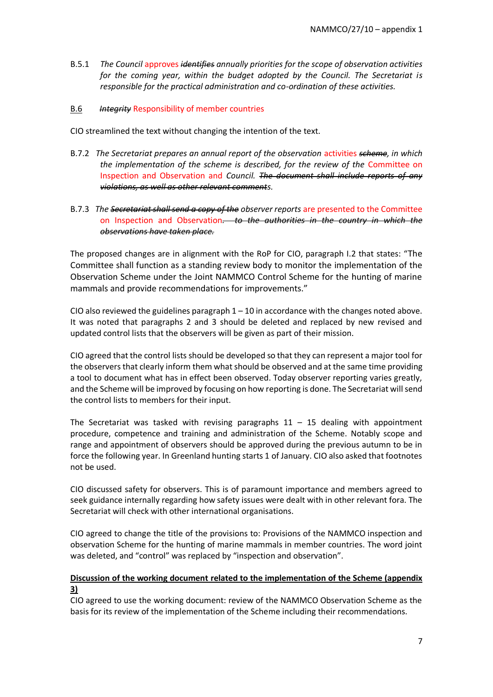B.5.1 *The Council* approves *identifies annually priorities for the scope of observation activities for the coming year, within the budget adopted by the Council. The Secretariat is responsible for the practical administration and co-ordination of these activities.*

## B.6 *Integrity* Responsibility of member countries

CIO streamlined the text without changing the intention of the text.

- B.7.2 *The Secretariat prepares an annual report of the observation* activities *scheme, in which the implementation of the scheme is described, for the review of the* Committee on Inspection and Observation and *Council. The document shall include reports of any violations, as well as other relevant comments.*
- B.7.3 *The Secretariat shall send a copy of the observer reports* are presented to the Committee on Inspection and Observation*. to the authorities in the country in which the observations have taken place.*

The proposed changes are in alignment with the RoP for CIO, paragraph I.2 that states: "The Committee shall function as a standing review body to monitor the implementation of the Observation Scheme under the Joint NAMMCO Control Scheme for the hunting of marine mammals and provide recommendations for improvements."

CIO also reviewed the guidelines paragraph  $1 - 10$  in accordance with the changes noted above. It was noted that paragraphs 2 and 3 should be deleted and replaced by new revised and updated control lists that the observers will be given as part of their mission.

CIO agreed that the control lists should be developed so that they can represent a major tool for the observers that clearly inform them what should be observed and at the same time providing a tool to document what has in effect been observed. Today observer reporting varies greatly, and the Scheme will be improved by focusing on how reporting is done. The Secretariat will send the control lists to members for their input.

The Secretariat was tasked with revising paragraphs  $11 - 15$  dealing with appointment procedure, competence and training and administration of the Scheme. Notably scope and range and appointment of observers should be approved during the previous autumn to be in force the following year. In Greenland hunting starts 1 of January. CIO also asked that footnotes not be used.

CIO discussed safety for observers. This is of paramount importance and members agreed to seek guidance internally regarding how safety issues were dealt with in other relevant fora. The Secretariat will check with other international organisations.

CIO agreed to change the title of the provisions to: Provisions of the NAMMCO inspection and observation Scheme for the hunting of marine mammals in member countries. The word joint was deleted, and "control" was replaced by "inspection and observation".

## **Discussion of the working document related to the implementation of the Scheme (appendix 3)**

CIO agreed to use the working document: review of the NAMMCO Observation Scheme as the basis for its review of the implementation of the Scheme including their recommendations.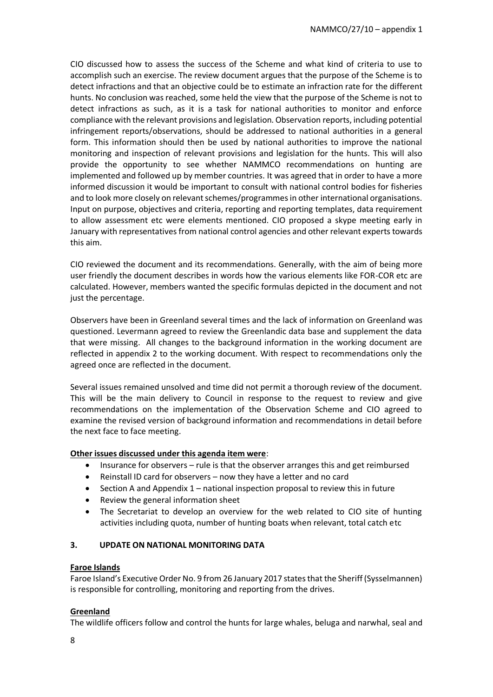CIO discussed how to assess the success of the Scheme and what kind of criteria to use to accomplish such an exercise. The review document argues that the purpose of the Scheme is to detect infractions and that an objective could be to estimate an infraction rate for the different hunts. No conclusion was reached, some held the view that the purpose of the Scheme is not to detect infractions as such, as it is a task for national authorities to monitor and enforce compliance with the relevant provisions and legislation. Observation reports, including potential infringement reports/observations, should be addressed to national authorities in a general form. This information should then be used by national authorities to improve the national monitoring and inspection of relevant provisions and legislation for the hunts. This will also provide the opportunity to see whether NAMMCO recommendations on hunting are implemented and followed up by member countries. It was agreed that in order to have a more informed discussion it would be important to consult with national control bodies for fisheries and to look more closely on relevant schemes/programmes in other international organisations. Input on purpose, objectives and criteria, reporting and reporting templates, data requirement to allow assessment etc were elements mentioned. CIO proposed a skype meeting early in January with representatives from national control agencies and other relevant experts towards this aim.

CIO reviewed the document and its recommendations. Generally, with the aim of being more user friendly the document describes in words how the various elements like FOR-COR etc are calculated. However, members wanted the specific formulas depicted in the document and not just the percentage.

Observers have been in Greenland several times and the lack of information on Greenland was questioned. Levermann agreed to review the Greenlandic data base and supplement the data that were missing. All changes to the background information in the working document are reflected in appendix 2 to the working document. With respect to recommendations only the agreed once are reflected in the document.

Several issues remained unsolved and time did not permit a thorough review of the document. This will be the main delivery to Council in response to the request to review and give recommendations on the implementation of the Observation Scheme and CIO agreed to examine the revised version of background information and recommendations in detail before the next face to face meeting.

## **Other issues discussed under this agenda item were**:

- Insurance for observers rule is that the observer arranges this and get reimbursed
- Reinstall ID card for observers now they have a letter and no card
- Section A and Appendix 1 national inspection proposal to review this in future
- Review the general information sheet
- The Secretariat to develop an overview for the web related to CIO site of hunting activities including quota, number of hunting boats when relevant, total catch etc

## **3. UPDATE ON NATIONAL MONITORING DATA**

## **Faroe Islands**

Faroe Island's Executive Order No. 9 from 26 January 2017 states that the Sheriff (Sysselmannen) is responsible for controlling, monitoring and reporting from the drives.

## **Greenland**

The wildlife officers follow and control the hunts for large whales, beluga and narwhal, seal and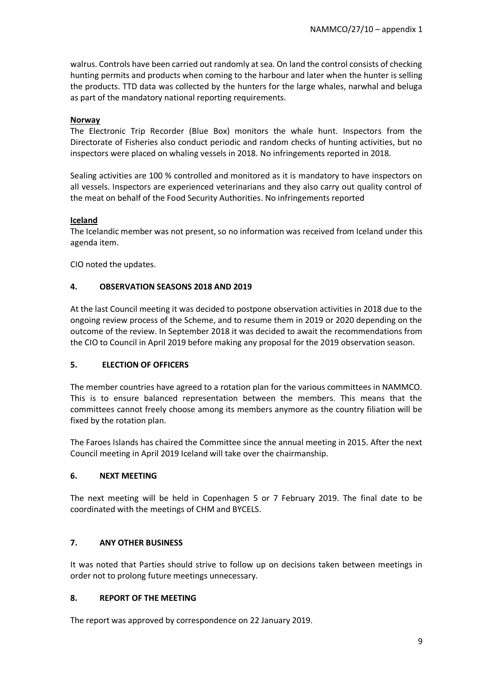walrus. Controls have been carried out randomly at sea. On land the control consists of checking hunting permits and products when coming to the harbour and later when the hunter is selling the products. TTD data was collected by the hunters for the large whales, narwhal and beluga as part of the mandatory national reporting requirements.

## **Norway**

The Electronic Trip Recorder (Blue Box) monitors the whale hunt. Inspectors from the Directorate of Fisheries also conduct periodic and random checks of hunting activities, but no inspectors were placed on whaling vessels in 2018. No infringements reported in 2018.

Sealing activities are 100 % controlled and monitored as it is mandatory to have inspectors on all vessels. Inspectors are experienced veterinarians and they also carry out quality control of the meat on behalf of the Food Security Authorities. No infringements reported

#### **Iceland**

The Icelandic member was not present, so no information was received from Iceland under this agenda item.

CIO noted the updates.

#### **4. OBSERVATION SEASONS 2018 AND 2019**

At the last Council meeting it was decided to postpone observation activities in 2018 due to the ongoing review process of the Scheme, and to resume them in 2019 or 2020 depending on the outcome of the review. In September 2018 it was decided to await the recommendations from the CIO to Council in April 2019 before making any proposal for the 2019 observation season.

## **5. ELECTION OF OFFICERS**

The member countries have agreed to a rotation plan for the various committees in NAMMCO. This is to ensure balanced representation between the members. This means that the committees cannot freely choose among its members anymore as the country filiation will be fixed by the rotation plan.

The Faroes Islands has chaired the Committee since the annual meeting in 2015. After the next Council meeting in April 2019 Iceland will take over the chairmanship.

## **6. NEXT MEETING**

The next meeting will be held in Copenhagen 5 or 7 February 2019. The final date to be coordinated with the meetings of CHM and BYCELS.

## **7. ANY OTHER BUSINESS**

It was noted that Parties should strive to follow up on decisions taken between meetings in order not to prolong future meetings unnecessary.

## **8. REPORT OF THE MEETING**

The report was approved by correspondence on 22 January 2019.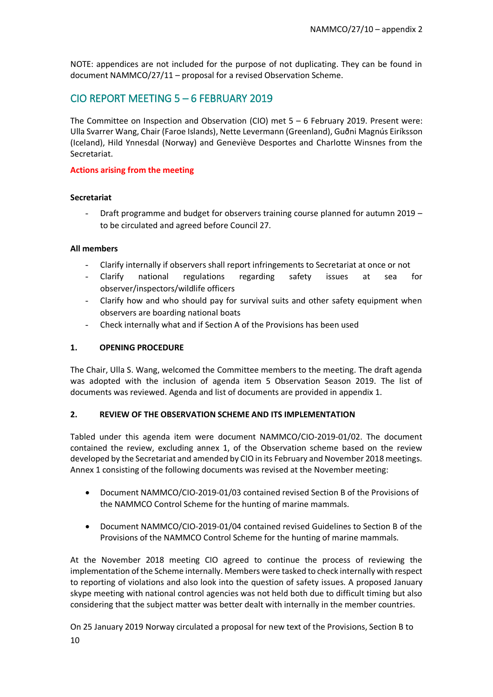NOTE: appendices are not included for the purpose of not duplicating. They can be found in document NAMMCO/27/11 – proposal for a revised Observation Scheme.

# CIO REPORT MEETING 5 – 6 FEBRUARY 2019

The Committee on Inspection and Observation (CIO) met 5 – 6 February 2019. Present were: Ulla Svarrer Wang, Chair (Faroe Islands), Nette Levermann (Greenland), Guðni Magnús Eiríksson (Iceland), Hild Ynnesdal (Norway) and Geneviève Desportes and Charlotte Winsnes from the Secretariat.

## **Actions arising from the meeting**

## **Secretariat**

- Draft programme and budget for observers training course planned for autumn 2019 – to be circulated and agreed before Council 27.

## **All members**

- Clarify internally if observers shall report infringements to Secretariat at once or not
- Clarify national regulations regarding safety issues at sea for observer/inspectors/wildlife officers
- Clarify how and who should pay for survival suits and other safety equipment when observers are boarding national boats
- Check internally what and if Section A of the Provisions has been used

## **1. OPENING PROCEDURE**

The Chair, Ulla S. Wang, welcomed the Committee members to the meeting. The draft agenda was adopted with the inclusion of agenda item 5 Observation Season 2019. The list of documents was reviewed. Agenda and list of documents are provided in appendix 1.

## **2. REVIEW OF THE OBSERVATION SCHEME AND ITS IMPLEMENTATION**

Tabled under this agenda item were document NAMMCO/CIO-2019-01/02. The document contained the review, excluding annex 1, of the Observation scheme based on the review developed by the Secretariat and amended by CIO in its February and November 2018 meetings. Annex 1 consisting of the following documents was revised at the November meeting:

- Document NAMMCO/CIO-2019-01/03 contained revised Section B of the Provisions of the NAMMCO Control Scheme for the hunting of marine mammals.
- Document NAMMCO/CIO-2019-01/04 contained revised Guidelines to Section B of the Provisions of the NAMMCO Control Scheme for the hunting of marine mammals.

At the November 2018 meeting CIO agreed to continue the process of reviewing the implementation of the Scheme internally. Members were tasked to check internally with respect to reporting of violations and also look into the question of safety issues. A proposed January skype meeting with national control agencies was not held both due to difficult timing but also considering that the subject matter was better dealt with internally in the member countries.

10 On 25 January 2019 Norway circulated a proposal for new text of the Provisions, Section B to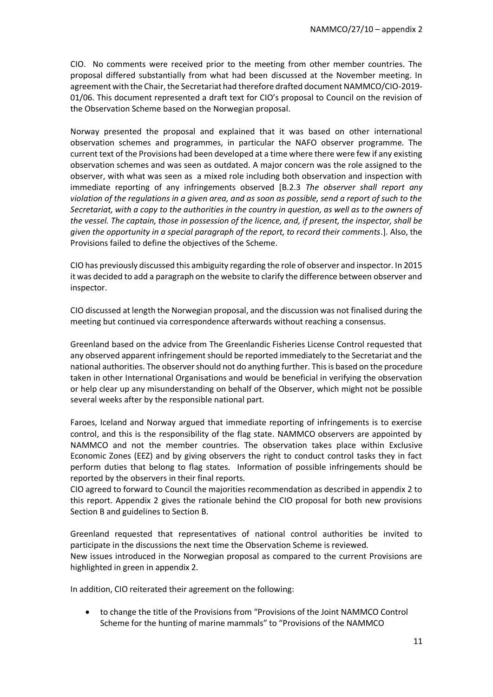CIO. No comments were received prior to the meeting from other member countries. The proposal differed substantially from what had been discussed at the November meeting. In agreement with the Chair, the Secretariat had therefore drafted document NAMMCO/CIO-2019- 01/06. This document represented a draft text for CIO's proposal to Council on the revision of the Observation Scheme based on the Norwegian proposal.

Norway presented the proposal and explained that it was based on other international observation schemes and programmes, in particular the NAFO observer programme. The current text of the Provisions had been developed at a time where there were few if any existing observation schemes and was seen as outdated. A major concern was the role assigned to the observer, with what was seen as a mixed role including both observation and inspection with immediate reporting of any infringements observed [B.2.3 *The observer shall report any violation of the regulations in a given area, and as soon as possible, send a report of such to the Secretariat, with a copy to the authorities in the country in question, as well as to the owners of the vessel. The captain, those in possession of the licence, and, if present, the inspector, shall be given the opportunity in a special paragraph of the report, to record their comments*.]. Also, the Provisions failed to define the objectives of the Scheme.

CIO has previously discussed this ambiguity regarding the role of observer and inspector. In 2015 it was decided to add a paragraph on the website to clarify the difference between observer and inspector.

CIO discussed at length the Norwegian proposal, and the discussion was not finalised during the meeting but continued via correspondence afterwards without reaching a consensus.

Greenland based on the advice from The Greenlandic Fisheries License Control requested that any observed apparent infringement should be reported immediately to the Secretariat and the national authorities. The observer should not do anything further. Thisis based on the procedure taken in other International Organisations and would be beneficial in verifying the observation or help clear up any misunderstanding on behalf of the Observer, which might not be possible several weeks after by the responsible national part.

Faroes, Iceland and Norway argued that immediate reporting of infringements is to exercise control, and this is the responsibility of the flag state. NAMMCO observers are appointed by NAMMCO and not the member countries. The observation takes place within Exclusive Economic Zones (EEZ) and by giving observers the right to conduct control tasks they in fact perform duties that belong to flag states. Information of possible infringements should be reported by the observers in their final reports.

CIO agreed to forward to Council the majorities recommendation as described in appendix 2 to this report. Appendix 2 gives the rationale behind the CIO proposal for both new provisions Section B and guidelines to Section B.

Greenland requested that representatives of national control authorities be invited to participate in the discussions the next time the Observation Scheme is reviewed. New issues introduced in the Norwegian proposal as compared to the current Provisions are highlighted in green in appendix 2.

In addition, CIO reiterated their agreement on the following:

• to change the title of the Provisions from "Provisions of the Joint NAMMCO Control Scheme for the hunting of marine mammals" to "Provisions of the NAMMCO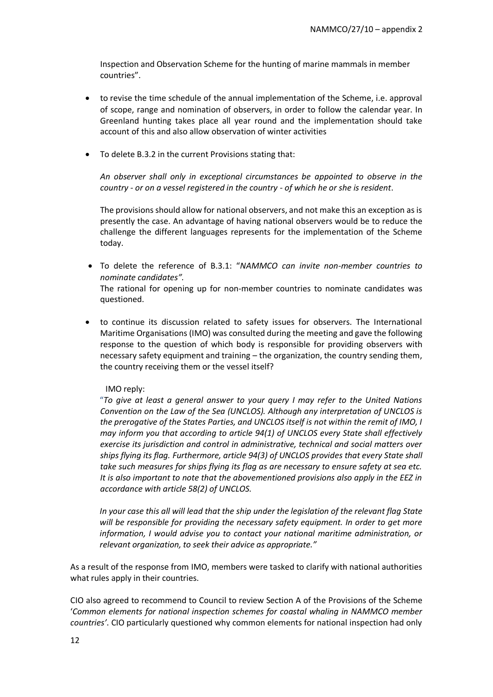Inspection and Observation Scheme for the hunting of marine mammals in member countries".

- to revise the time schedule of the annual implementation of the Scheme, i.e. approval of scope, range and nomination of observers, in order to follow the calendar year. In Greenland hunting takes place all year round and the implementation should take account of this and also allow observation of winter activities
- To delete B.3.2 in the current Provisions stating that:

*An observer shall only in exceptional circumstances be appointed to observe in the country - or on a vessel registered in the country - of which he or she is resident*.

The provisions should allow for national observers, and not make this an exception as is presently the case. An advantage of having national observers would be to reduce the challenge the different languages represents for the implementation of the Scheme today.

• To delete the reference of B.3.1: "*NAMMCO can invite non-member countries to nominate candidates".* 

The rational for opening up for non-member countries to nominate candidates was questioned.

• to continue its discussion related to safety issues for observers. The International Maritime Organisations (IMO) was consulted during the meeting and gave the following response to the question of which body is responsible for providing observers with necessary safety equipment and training – the organization, the country sending them, the country receiving them or the vessel itself?

## IMO reply:

"*To give at least a general answer to your query I may refer to the United Nations Convention on the Law of the Sea (UNCLOS). Although any interpretation of UNCLOS is the prerogative of the States Parties, and UNCLOS itself is not within the remit of IMO, I may inform you that according to article 94(1) of UNCLOS every State shall effectively exercise its jurisdiction and control in administrative, technical and social matters over ships flying its flag. Furthermore, article 94(3) of UNCLOS provides that every State shall take such measures for ships flying its flag as are necessary to ensure safety at sea etc. It is also important to note that the abovementioned provisions also apply in the EEZ in accordance with article 58(2) of UNCLOS.* 

*In your case this all will lead that the ship under the legislation of the relevant flag State will be responsible for providing the necessary safety equipment. In order to get more information, I would advise you to contact your national maritime administration, or relevant organization, to seek their advice as appropriate."*

As a result of the response from IMO, members were tasked to clarify with national authorities what rules apply in their countries.

CIO also agreed to recommend to Council to review Section A of the Provisions of the Scheme '*Common elements for national inspection schemes for coastal whaling in NAMMCO member countries'*. CIO particularly questioned why common elements for national inspection had only